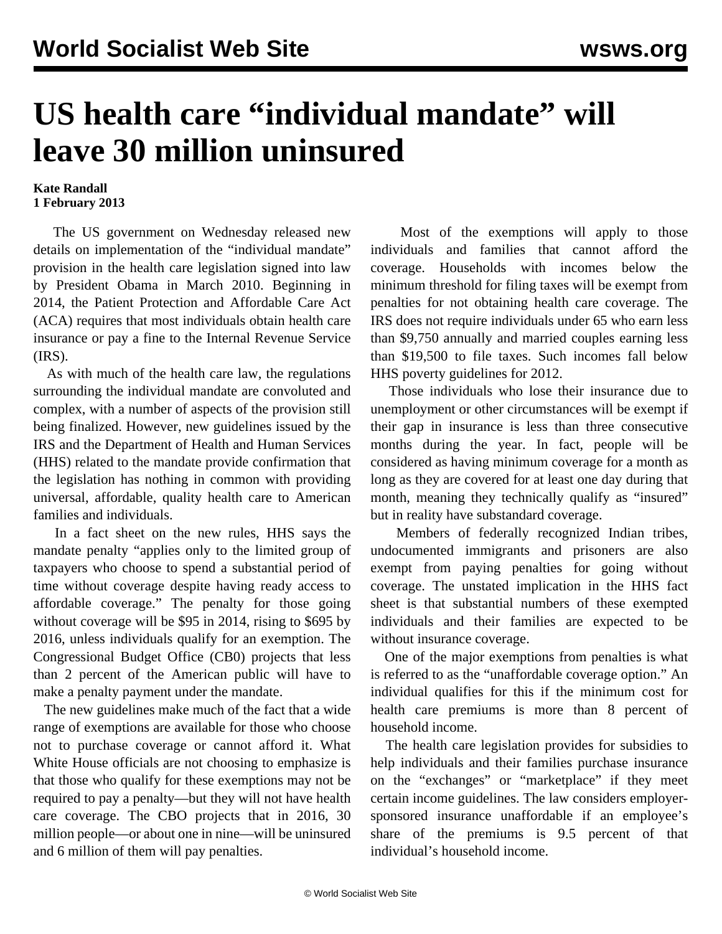## **US health care "individual mandate" will leave 30 million uninsured**

## **Kate Randall 1 February 2013**

 The US government on Wednesday released new details on implementation of the "individual mandate" provision in the health care legislation signed into law by President Obama in March 2010. Beginning in 2014, the Patient Protection and Affordable Care Act (ACA) requires that most individuals obtain health care insurance or pay a fine to the Internal Revenue Service (IRS).

 As with much of the health care law, the regulations surrounding the individual mandate are convoluted and complex, with a number of aspects of the provision still being finalized. However, new guidelines issued by the IRS and the Department of Health and Human Services (HHS) related to the mandate provide confirmation that the legislation has nothing in common with providing universal, affordable, quality health care to American families and individuals.

 In a fact sheet on the new rules, HHS says the mandate penalty "applies only to the limited group of taxpayers who choose to spend a substantial period of time without coverage despite having ready access to affordable coverage." The penalty for those going without coverage will be \$95 in 2014, rising to \$695 by 2016, unless individuals qualify for an exemption. The Congressional Budget Office (CB0) projects that less than 2 percent of the American public will have to make a penalty payment under the mandate.

 The new guidelines make much of the fact that a wide range of exemptions are available for those who choose not to purchase coverage or cannot afford it. What White House officials are not choosing to emphasize is that those who qualify for these exemptions may not be required to pay a penalty—but they will not have health care coverage. The CBO projects that in 2016, 30 million people—or about one in nine—will be uninsured and 6 million of them will pay penalties.

 Most of the exemptions will apply to those individuals and families that cannot afford the coverage. Households with incomes below the minimum threshold for filing taxes will be exempt from penalties for not obtaining health care coverage. The IRS does not require individuals under 65 who earn less than \$9,750 annually and married couples earning less than \$19,500 to file taxes. Such incomes fall below HHS poverty guidelines for 2012.

 Those individuals who lose their insurance due to unemployment or other circumstances will be exempt if their gap in insurance is less than three consecutive months during the year. In fact, people will be considered as having minimum coverage for a month as long as they are covered for at least one day during that month, meaning they technically qualify as "insured" but in reality have substandard coverage.

 Members of federally recognized Indian tribes, undocumented immigrants and prisoners are also exempt from paying penalties for going without coverage. The unstated implication in the HHS fact sheet is that substantial numbers of these exempted individuals and their families are expected to be without insurance coverage.

 One of the major exemptions from penalties is what is referred to as the "unaffordable coverage option." An individual qualifies for this if the minimum cost for health care premiums is more than 8 percent of household income.

 The health care legislation provides for subsidies to help individuals and their families purchase insurance on the "exchanges" or "marketplace" if they meet certain income guidelines. The law considers employersponsored insurance unaffordable if an employee's share of the premiums is 9.5 percent of that individual's household income.